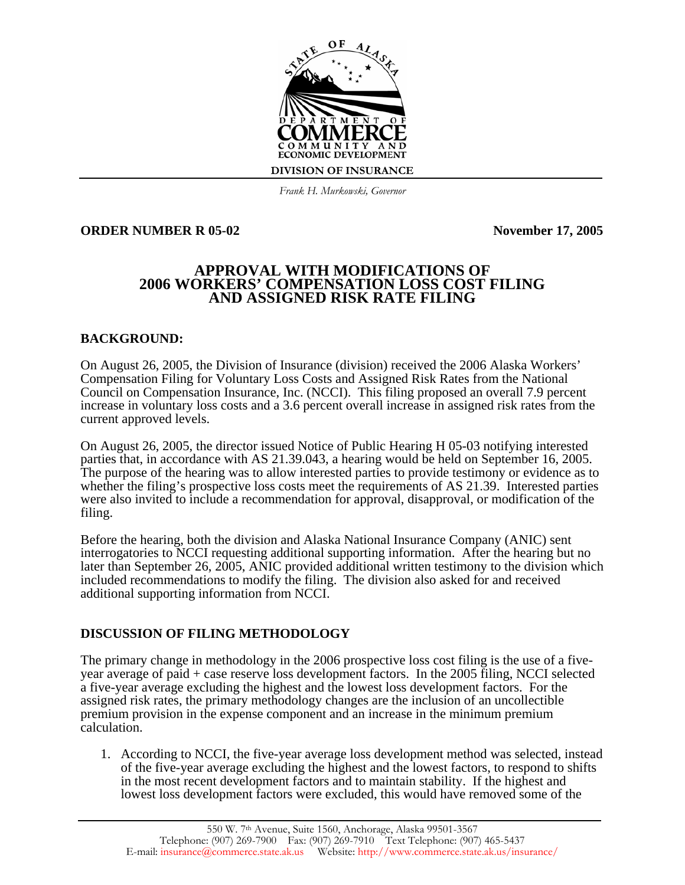

*Frank H. Murkowski, Governor*

# **ORDER NUMBER R 05-02 November 17, 2005**

# **APPROVAL WITH MODIFICATIONS OF 2006 WORKERS' COMPENSATION LOSS COST FILING AND ASSIGNED RISK RATE FILING**

# **BACKGROUND:**

On August 26, 2005, the Division of Insurance (division) received the 2006 Alaska Workers' Compensation Filing for Voluntary Loss Costs and Assigned Risk Rates from the National Council on Compensation Insurance, Inc. (NCCI). This filing proposed an overall 7.9 percent increase in voluntary loss costs and a 3.6 percent overall increase in assigned risk rates from the current approved levels.

On August 26, 2005, the director issued Notice of Public Hearing H 05-03 notifying interested parties that, in accordance with AS 21.39.043, a hearing would be held on September 16, 2005. The purpose of the hearing was to allow interested parties to provide testimony or evidence as to whether the filing's prospective loss costs meet the requirements of AS 21.39. Interested parties were also invited to include a recommendation for approval, disapproval, or modification of the filing.

Before the hearing, both the division and Alaska National Insurance Company (ANIC) sent interrogatories to NCCI requesting additional supporting information. After the hearing but no later than September 26, 2005, ANIC provided additional written testimony to the division which included recommendations to modify the filing. The division also asked for and received additional supporting information from NCCI.

# **DISCUSSION OF FILING METHODOLOGY**

The primary change in methodology in the 2006 prospective loss cost filing is the use of a fiveyear average of paid + case reserve loss development factors. In the 2005 filing, NCCI selected a five-year average excluding the highest and the lowest loss development factors. For the assigned risk rates, the primary methodology changes are the inclusion of an uncollectible premium provision in the expense component and an increase in the minimum premium calculation.

1. According to NCCI, the five-year average loss development method was selected, instead of the five-year average excluding the highest and the lowest factors, to respond to shifts in the most recent development factors and to maintain stability. If the highest and lowest loss development factors were excluded, this would have removed some of the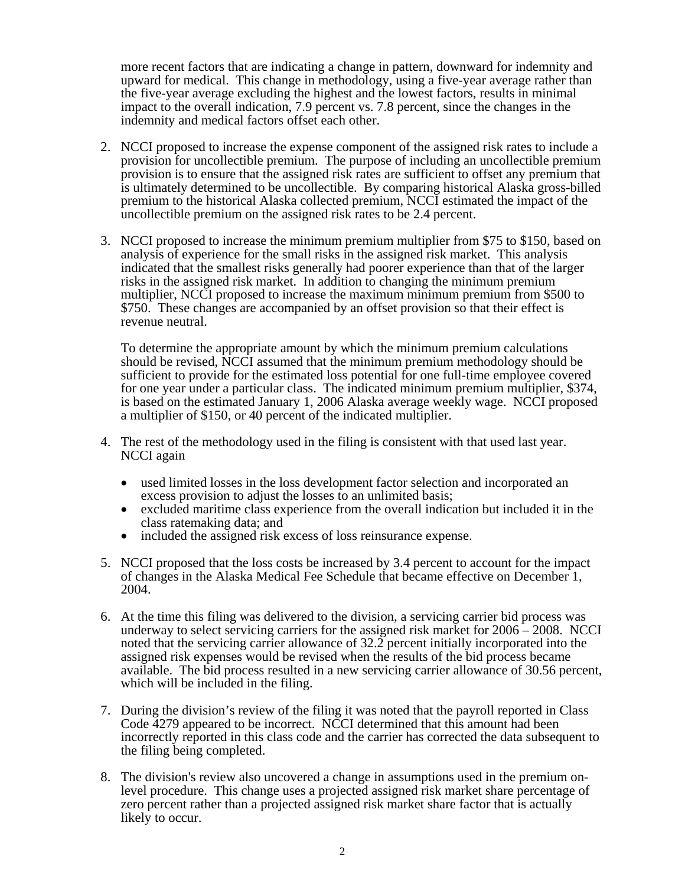more recent factors that are indicating a change in pattern, downward for indemnity and upward for medical. This change in methodology, using a five-year average rather than the five-year average excluding the highest and the lowest factors, results in minimal impact to the overall indication, 7.9 percent vs. 7.8 percent, since the changes in the indemnity and medical factors offset each other.

- 2. NCCI proposed to increase the expense component of the assigned risk rates to include a provision for uncollectible premium. The purpose of including an uncollectible premium provision is to ensure that the assigned risk rates are sufficient to offset any premium that is ultimately determined to be uncollectible. By comparing historical Alaska gross-billed premium to the historical Alaska collected premium, NCCI estimated the impact of the uncollectible premium on the assigned risk rates to be 2.4 percent.
- 3. NCCI proposed to increase the minimum premium multiplier from \$75 to \$150, based on analysis of experience for the small risks in the assigned risk market. This analysis indicated that the smallest risks generally had poorer experience than that of the larger risks in the assigned risk market. In addition to changing the minimum premium multiplier, NCCI proposed to increase the maximum minimum premium from \$500 to \$750. These changes are accompanied by an offset provision so that their effect is revenue neutral.

To determine the appropriate amount by which the minimum premium calculations should be revised, NCCI assumed that the minimum premium methodology should be sufficient to provide for the estimated loss potential for one full-time employee covered for one year under a particular class. The indicated minimum premium multiplier, \$374, is based on the estimated January 1, 2006 Alaska average weekly wage. NCCI proposed a multiplier of \$150, or 40 percent of the indicated multiplier.

- 4. The rest of the methodology used in the filing is consistent with that used last year. NCCI again
	- used limited losses in the loss development factor selection and incorporated an excess provision to adjust the losses to an unlimited basis;
	- excluded maritime class experience from the overall indication but included it in the class ratemaking data; and
	- included the assigned risk excess of loss reinsurance expense.
- 5. NCCI proposed that the loss costs be increased by 3.4 percent to account for the impact of changes in the Alaska Medical Fee Schedule that became effective on December 1, 2004.
- 6. At the time this filing was delivered to the division, a servicing carrier bid process was underway to select servicing carriers for the assigned risk market for 2006 – 2008. NCCI noted that the servicing carrier allowance of 32.2 percent initially incorporated into the assigned risk expenses would be revised when the results of the bid process became available. The bid process resulted in a new servicing carrier allowance of 30.56 percent, which will be included in the filing.
- 7. During the division's review of the filing it was noted that the payroll reported in Class Code 4279 appeared to be incorrect. NCCI determined that this amount had been incorrectly reported in this class code and the carrier has corrected the data subsequent to the filing being completed.
- 8. The division's review also uncovered a change in assumptions used in the premium onlevel procedure. This change uses a projected assigned risk market share percentage of zero percent rather than a projected assigned risk market share factor that is actually likely to occur.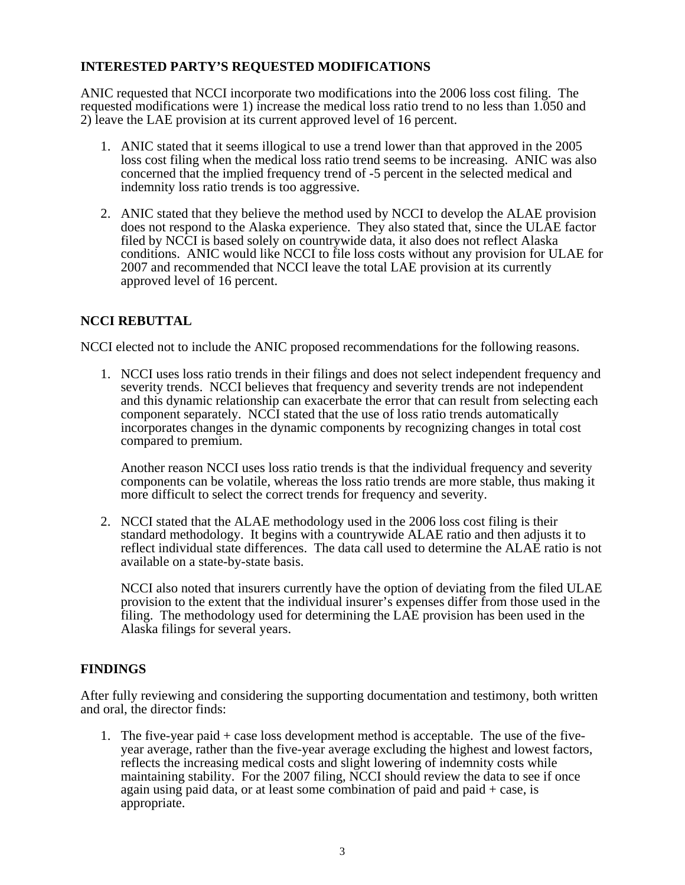# **INTERESTED PARTY'S REQUESTED MODIFICATIONS**

ANIC requested that NCCI incorporate two modifications into the 2006 loss cost filing. The requested modifications were 1) increase the medical loss ratio trend to no less than 1.050 and 2) leave the LAE provision at its current approved level of 16 percent.

- 1. ANIC stated that it seems illogical to use a trend lower than that approved in the 2005 loss cost filing when the medical loss ratio trend seems to be increasing. ANIC was also concerned that the implied frequency trend of -5 percent in the selected medical and indemnity loss ratio trends is too aggressive.
- 2. ANIC stated that they believe the method used by NCCI to develop the ALAE provision does not respond to the Alaska experience. They also stated that, since the ULAE factor filed by NCCI is based solely on countrywide data, it also does not reflect Alaska conditions. ANIC would like NCCI to file loss costs without any provision for ULAE for 2007 and recommended that NCCI leave the total LAE provision at its currently approved level of 16 percent.

# **NCCI REBUTTAL**

NCCI elected not to include the ANIC proposed recommendations for the following reasons.

1. NCCI uses loss ratio trends in their filings and does not select independent frequency and severity trends. NCCI believes that frequency and severity trends are not independent and this dynamic relationship can exacerbate the error that can result from selecting each component separately. NCCI stated that the use of loss ratio trends automatically incorporates changes in the dynamic components by recognizing changes in total cost compared to premium.

Another reason NCCI uses loss ratio trends is that the individual frequency and severity components can be volatile, whereas the loss ratio trends are more stable, thus making it more difficult to select the correct trends for frequency and severity.

2. NCCI stated that the ALAE methodology used in the 2006 loss cost filing is their standard methodology. It begins with a countrywide ALAE ratio and then adjusts it to reflect individual state differences. The data call used to determine the ALAE ratio is not available on a state-by-state basis.

NCCI also noted that insurers currently have the option of deviating from the filed ULAE provision to the extent that the individual insurer's expenses differ from those used in the filing. The methodology used for determining the LAE provision has been used in the Alaska filings for several years.

### **FINDINGS**

After fully reviewing and considering the supporting documentation and testimony, both written and oral, the director finds:

1. The five-year paid + case loss development method is acceptable. The use of the fiveyear average, rather than the five-year average excluding the highest and lowest factors, reflects the increasing medical costs and slight lowering of indemnity costs while maintaining stability. For the 2007 filing, NCCI should review the data to see if once again using paid data, or at least some combination of paid and paid  $+$  case, is appropriate.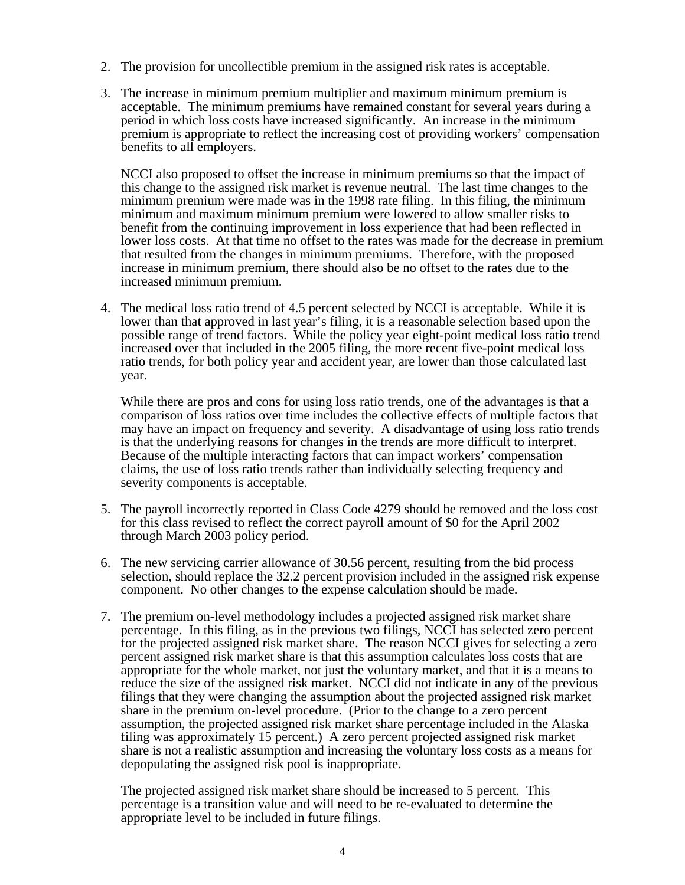- 2. The provision for uncollectible premium in the assigned risk rates is acceptable.
- 3. The increase in minimum premium multiplier and maximum minimum premium is acceptable. The minimum premiums have remained constant for several years during a period in which loss costs have increased significantly. An increase in the minimum premium is appropriate to reflect the increasing cost of providing workers' compensation benefits to all employers.

NCCI also proposed to offset the increase in minimum premiums so that the impact of this change to the assigned risk market is revenue neutral. The last time changes to the minimum premium were made was in the 1998 rate filing. In this filing, the minimum minimum and maximum minimum premium were lowered to allow smaller risks to benefit from the continuing improvement in loss experience that had been reflected in lower loss costs. At that time no offset to the rates was made for the decrease in premium that resulted from the changes in minimum premiums. Therefore, with the proposed increase in minimum premium, there should also be no offset to the rates due to the increased minimum premium.

4. The medical loss ratio trend of 4.5 percent selected by NCCI is acceptable. While it is lower than that approved in last year's filing, it is a reasonable selection based upon the possible range of trend factors. While the policy year eight-point medical loss ratio trend increased over that included in the 2005 filing, the more recent five-point medical loss ratio trends, for both policy year and accident year, are lower than those calculated last year.

While there are pros and cons for using loss ratio trends, one of the advantages is that a comparison of loss ratios over time includes the collective effects of multiple factors that may have an impact on frequency and severity. A disadvantage of using loss ratio trends is that the underlying reasons for changes in the trends are more difficult to interpret. Because of the multiple interacting factors that can impact workers' compensation claims, the use of loss ratio trends rather than individually selecting frequency and severity components is acceptable.

- 5. The payroll incorrectly reported in Class Code 4279 should be removed and the loss cost for this class revised to reflect the correct payroll amount of \$0 for the April 2002 through March 2003 policy period.
- 6. The new servicing carrier allowance of 30.56 percent, resulting from the bid process selection, should replace the 32.2 percent provision included in the assigned risk expense component. No other changes to the expense calculation should be made.
- 7. The premium on-level methodology includes a projected assigned risk market share percentage. In this filing, as in the previous two filings, NCCI has selected zero percent for the projected assigned risk market share. The reason NCCI gives for selecting a zero percent assigned risk market share is that this assumption calculates loss costs that are appropriate for the whole market, not just the voluntary market, and that it is a means to reduce the size of the assigned risk market. NCCI did not indicate in any of the previous filings that they were changing the assumption about the projected assigned risk market share in the premium on-level procedure. (Prior to the change to a zero percent assumption, the projected assigned risk market share percentage included in the Alaska filing was approximately 15 percent.) A zero percent projected assigned risk market share is not a realistic assumption and increasing the voluntary loss costs as a means for depopulating the assigned risk pool is inappropriate.

The projected assigned risk market share should be increased to 5 percent. This percentage is a transition value and will need to be re-evaluated to determine the appropriate level to be included in future filings.